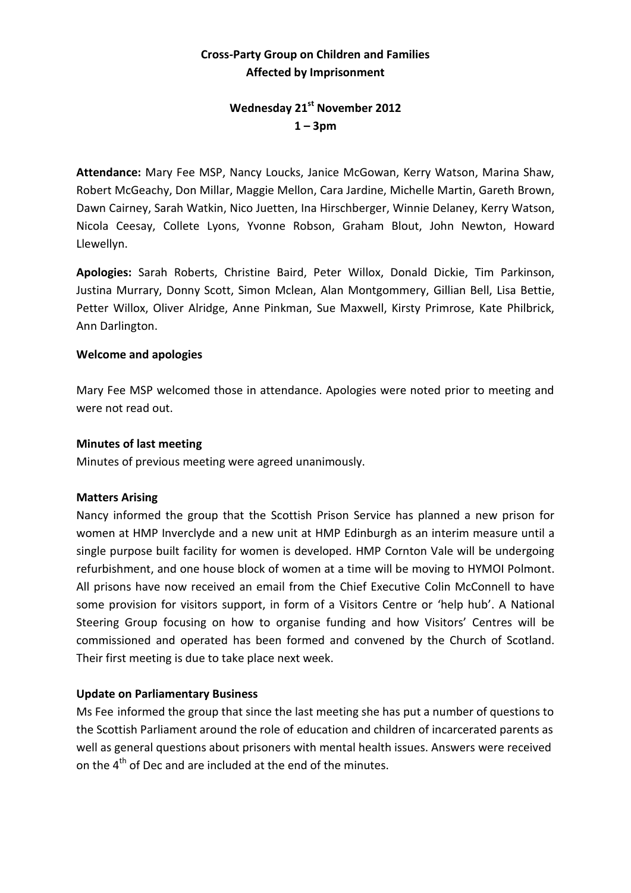## **Cross-Party Group on Children and Families Affected by Imprisonment**

## **Wednesday 21st November 2012 1 – 3pm**

**Attendance:** Mary Fee MSP, Nancy Loucks, Janice McGowan, Kerry Watson, Marina Shaw, Robert McGeachy, Don Millar, Maggie Mellon, Cara Jardine, Michelle Martin, Gareth Brown, Dawn Cairney, Sarah Watkin, Nico Juetten, Ina Hirschberger, Winnie Delaney, Kerry Watson, Nicola Ceesay, Collete Lyons, Yvonne Robson, Graham Blout, John Newton, Howard Llewellyn.

**Apologies:** Sarah Roberts, Christine Baird, Peter Willox, Donald Dickie, Tim Parkinson, Justina Murrary, Donny Scott, Simon Mclean, Alan Montgommery, Gillian Bell, Lisa Bettie, Petter Willox, Oliver Alridge, Anne Pinkman, Sue Maxwell, Kirsty Primrose, Kate Philbrick, Ann Darlington.

#### **Welcome and apologies**

Mary Fee MSP welcomed those in attendance. Apologies were noted prior to meeting and were not read out.

#### **Minutes of last meeting**

Minutes of previous meeting were agreed unanimously.

#### **Matters Arising**

Nancy informed the group that the Scottish Prison Service has planned a new prison for women at HMP Inverclyde and a new unit at HMP Edinburgh as an interim measure until a single purpose built facility for women is developed. HMP Cornton Vale will be undergoing refurbishment, and one house block of women at a time will be moving to HYMOI Polmont. All prisons have now received an email from the Chief Executive Colin McConnell to have some provision for visitors support, in form of a Visitors Centre or 'help hub'. A National Steering Group focusing on how to organise funding and how Visitors' Centres will be commissioned and operated has been formed and convened by the Church of Scotland. Their first meeting is due to take place next week.

## **Update on Parliamentary Business**

Ms Fee informed the group that since the last meeting she has put a number of questions to the Scottish Parliament around the role of education and children of incarcerated parents as well as general questions about prisoners with mental health issues. Answers were received on the 4<sup>th</sup> of Dec and are included at the end of the minutes.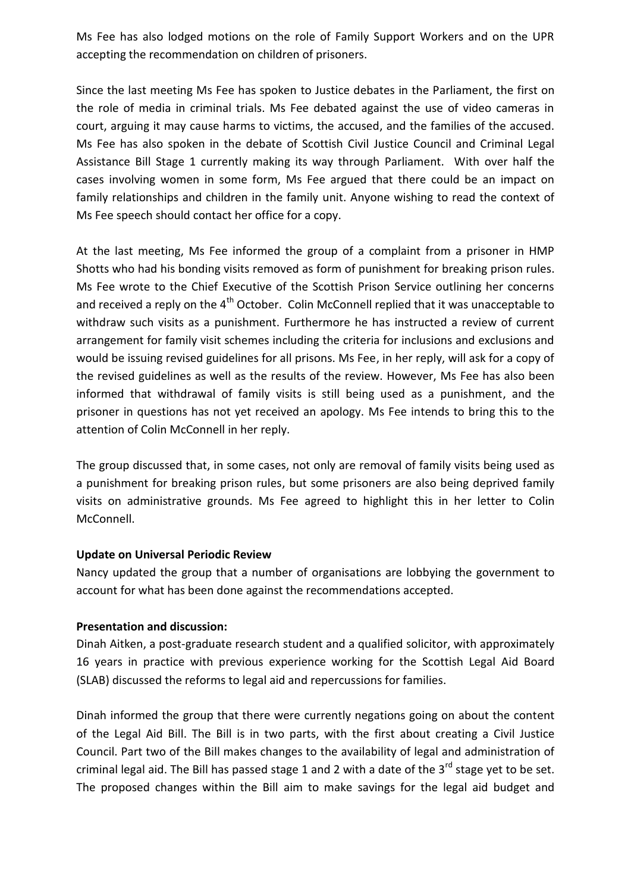Ms Fee has also lodged motions on the role of Family Support Workers and on the UPR accepting the recommendation on children of prisoners.

Since the last meeting Ms Fee has spoken to Justice debates in the Parliament, the first on the role of media in criminal trials. Ms Fee debated against the use of video cameras in court, arguing it may cause harms to victims, the accused, and the families of the accused. Ms Fee has also spoken in the debate of Scottish Civil Justice Council and Criminal Legal Assistance Bill Stage 1 currently making its way through Parliament. With over half the cases involving women in some form, Ms Fee argued that there could be an impact on family relationships and children in the family unit. Anyone wishing to read the context of Ms Fee speech should contact her office for a copy.

At the last meeting, Ms Fee informed the group of a complaint from a prisoner in HMP Shotts who had his bonding visits removed as form of punishment for breaking prison rules. Ms Fee wrote to the Chief Executive of the Scottish Prison Service outlining her concerns and received a reply on the  $4<sup>th</sup>$  October. Colin McConnell replied that it was unacceptable to withdraw such visits as a punishment. Furthermore he has instructed a review of current arrangement for family visit schemes including the criteria for inclusions and exclusions and would be issuing revised guidelines for all prisons. Ms Fee, in her reply, will ask for a copy of the revised guidelines as well as the results of the review. However, Ms Fee has also been informed that withdrawal of family visits is still being used as a punishment, and the prisoner in questions has not yet received an apology. Ms Fee intends to bring this to the attention of Colin McConnell in her reply.

The group discussed that, in some cases, not only are removal of family visits being used as a punishment for breaking prison rules, but some prisoners are also being deprived family visits on administrative grounds. Ms Fee agreed to highlight this in her letter to Colin McConnell.

#### **Update on Universal Periodic Review**

Nancy updated the group that a number of organisations are lobbying the government to account for what has been done against the recommendations accepted.

## **Presentation and discussion:**

Dinah Aitken, a post-graduate research student and a qualified solicitor, with approximately 16 years in practice with previous experience working for the Scottish Legal Aid Board (SLAB) discussed the reforms to legal aid and repercussions for families.

Dinah informed the group that there were currently negations going on about the content of the Legal Aid Bill. The Bill is in two parts, with the first about creating a Civil Justice Council. Part two of the Bill makes changes to the availability of legal and administration of criminal legal aid. The Bill has passed stage 1 and 2 with a date of the  $3^{rd}$  stage yet to be set. The proposed changes within the Bill aim to make savings for the legal aid budget and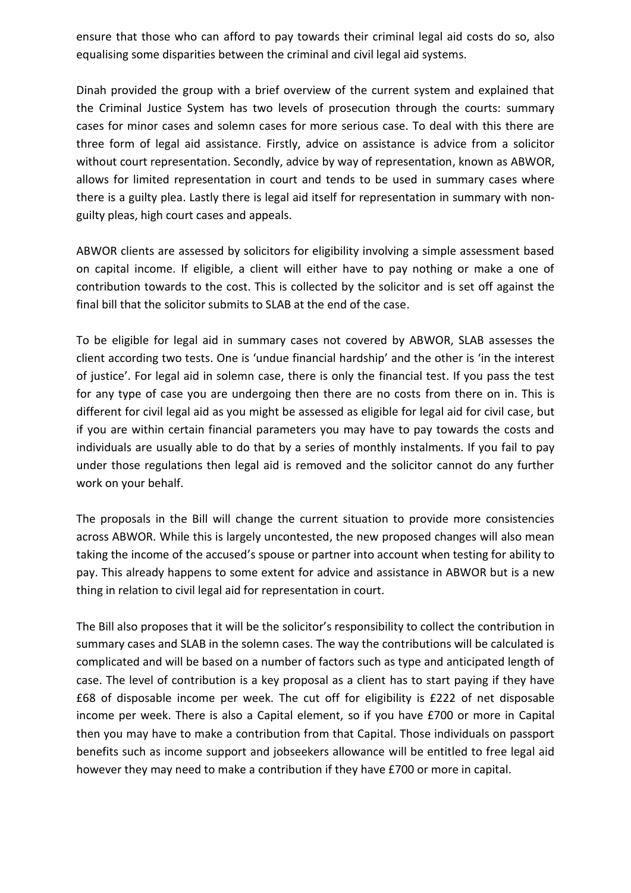ensure that those who can afford to pay towards their criminal legal aid costs do so, also equalising some disparities between the criminal and civil legal aid systems.

Dinah provided the group with a brief overview of the current system and explained that the Criminal Justice System has two levels of prosecution through the courts: summary cases for minor cases and solemn cases for more serious case. To deal with this there are three form of legal aid assistance. Firstly, advice on assistance is advice from a solicitor without court representation. Secondly, advice by way of representation, known as ABWOR, allows for limited representation in court and tends to be used in summary cases where there is a guilty plea. Lastly there is legal aid itself for representation in summary with nonguilty pleas, high court cases and appeals.

ABWOR clients are assessed by solicitors for eligibility involving a simple assessment based on capital income. If eligible, a client will either have to pay nothing or make a one of contribution towards to the cost. This is collected by the solicitor and is set off against the final bill that the solicitor submits to SLAB at the end of the case.

To be eligible for legal aid in summary cases not covered by ABWOR, SLAB assesses the client according two tests. One is 'undue financial hardship' and the other is 'in the interest of justice'. For legal aid in solemn case, there is only the financial test. If you pass the test for any type of case you are undergoing then there are no costs from there on in. This is different for civil legal aid as you might be assessed as eligible for legal aid for civil case, but if you are within certain financial parameters you may have to pay towards the costs and individuals are usually able to do that by a series of monthly instalments. If you fail to pay under those regulations then legal aid is removed and the solicitor cannot do any further work on your behalf.

The proposals in the Bill will change the current situation to provide more consistencies across ABWOR. While this is largely uncontested, the new proposed changes will also mean taking the income of the accused's spouse or partner into account when testing for ability to pay. This already happens to some extent for advice and assistance in ABWOR but is a new thing in relation to civil legal aid for representation in court.

The Bill also proposes that it will be the solicitor's responsibility to collect the contribution in summary cases and SLAB in the solemn cases. The way the contributions will be calculated is complicated and will be based on a number of factors such as type and anticipated length of case. The level of contribution is a key proposal as a client has to start paying if they have £68 of disposable income per week. The cut off for eligibility is £222 of net disposable income per week. There is also a Capital element, so if you have £700 or more in Capital then you may have to make a contribution from that Capital. Those individuals on passport benefits such as income support and jobseekers allowance will be entitled to free legal aid however they may need to make a contribution if they have £700 or more in capital.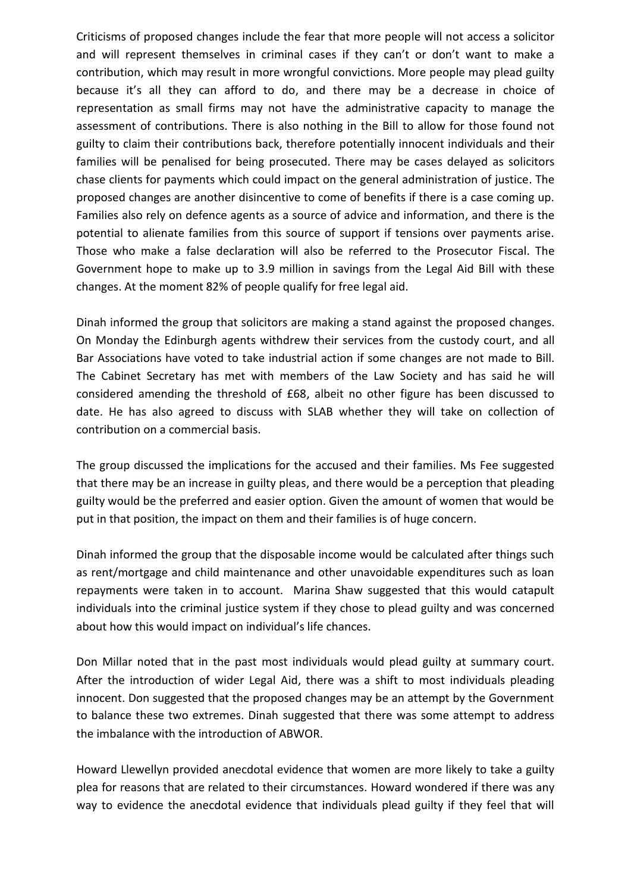Criticisms of proposed changes include the fear that more people will not access a solicitor and will represent themselves in criminal cases if they can't or don't want to make a contribution, which may result in more wrongful convictions. More people may plead guilty because it's all they can afford to do, and there may be a decrease in choice of representation as small firms may not have the administrative capacity to manage the assessment of contributions. There is also nothing in the Bill to allow for those found not guilty to claim their contributions back, therefore potentially innocent individuals and their families will be penalised for being prosecuted. There may be cases delayed as solicitors chase clients for payments which could impact on the general administration of justice. The proposed changes are another disincentive to come of benefits if there is a case coming up. Families also rely on defence agents as a source of advice and information, and there is the potential to alienate families from this source of support if tensions over payments arise. Those who make a false declaration will also be referred to the Prosecutor Fiscal. The Government hope to make up to 3.9 million in savings from the Legal Aid Bill with these changes. At the moment 82% of people qualify for free legal aid.

Dinah informed the group that solicitors are making a stand against the proposed changes. On Monday the Edinburgh agents withdrew their services from the custody court, and all Bar Associations have voted to take industrial action if some changes are not made to Bill. The Cabinet Secretary has met with members of the Law Society and has said he will considered amending the threshold of £68, albeit no other figure has been discussed to date. He has also agreed to discuss with SLAB whether they will take on collection of contribution on a commercial basis.

The group discussed the implications for the accused and their families. Ms Fee suggested that there may be an increase in guilty pleas, and there would be a perception that pleading guilty would be the preferred and easier option. Given the amount of women that would be put in that position, the impact on them and their families is of huge concern.

Dinah informed the group that the disposable income would be calculated after things such as rent/mortgage and child maintenance and other unavoidable expenditures such as loan repayments were taken in to account. Marina Shaw suggested that this would catapult individuals into the criminal justice system if they chose to plead guilty and was concerned about how this would impact on individual's life chances.

Don Millar noted that in the past most individuals would plead guilty at summary court. After the introduction of wider Legal Aid, there was a shift to most individuals pleading innocent. Don suggested that the proposed changes may be an attempt by the Government to balance these two extremes. Dinah suggested that there was some attempt to address the imbalance with the introduction of ABWOR.

Howard Llewellyn provided anecdotal evidence that women are more likely to take a guilty plea for reasons that are related to their circumstances. Howard wondered if there was any way to evidence the anecdotal evidence that individuals plead guilty if they feel that will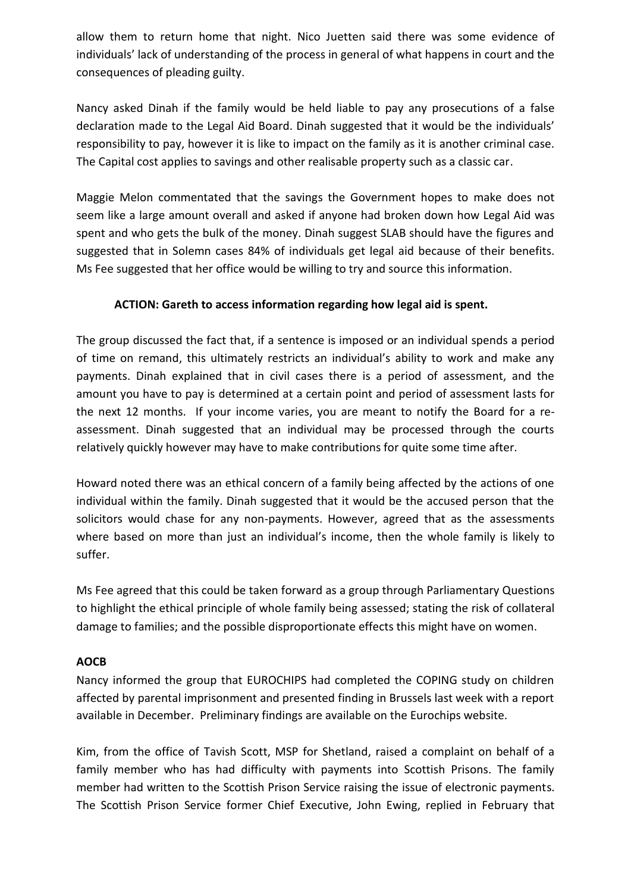allow them to return home that night. Nico Juetten said there was some evidence of individuals' lack of understanding of the process in general of what happens in court and the consequences of pleading guilty.

Nancy asked Dinah if the family would be held liable to pay any prosecutions of a false declaration made to the Legal Aid Board. Dinah suggested that it would be the individuals' responsibility to pay, however it is like to impact on the family as it is another criminal case. The Capital cost applies to savings and other realisable property such as a classic car.

Maggie Melon commentated that the savings the Government hopes to make does not seem like a large amount overall and asked if anyone had broken down how Legal Aid was spent and who gets the bulk of the money. Dinah suggest SLAB should have the figures and suggested that in Solemn cases 84% of individuals get legal aid because of their benefits. Ms Fee suggested that her office would be willing to try and source this information.

## **ACTION: Gareth to access information regarding how legal aid is spent.**

The group discussed the fact that, if a sentence is imposed or an individual spends a period of time on remand, this ultimately restricts an individual's ability to work and make any payments. Dinah explained that in civil cases there is a period of assessment, and the amount you have to pay is determined at a certain point and period of assessment lasts for the next 12 months. If your income varies, you are meant to notify the Board for a reassessment. Dinah suggested that an individual may be processed through the courts relatively quickly however may have to make contributions for quite some time after.

Howard noted there was an ethical concern of a family being affected by the actions of one individual within the family. Dinah suggested that it would be the accused person that the solicitors would chase for any non-payments. However, agreed that as the assessments where based on more than just an individual's income, then the whole family is likely to suffer.

Ms Fee agreed that this could be taken forward as a group through Parliamentary Questions to highlight the ethical principle of whole family being assessed; stating the risk of collateral damage to families; and the possible disproportionate effects this might have on women.

## **AOCB**

Nancy informed the group that EUROCHIPS had completed the COPING study on children affected by parental imprisonment and presented finding in Brussels last week with a report available in December. Preliminary findings are available on the Eurochips website.

Kim, from the office of Tavish Scott, MSP for Shetland, raised a complaint on behalf of a family member who has had difficulty with payments into Scottish Prisons. The family member had written to the Scottish Prison Service raising the issue of electronic payments. The Scottish Prison Service former Chief Executive, John Ewing, replied in February that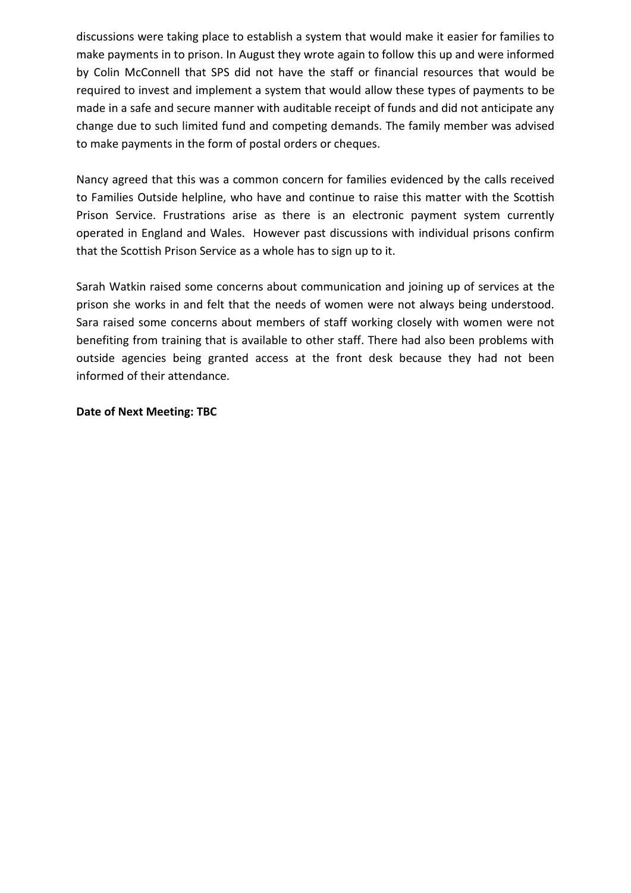discussions were taking place to establish a system that would make it easier for families to make payments in to prison. In August they wrote again to follow this up and were informed by Colin McConnell that SPS did not have the staff or financial resources that would be required to invest and implement a system that would allow these types of payments to be made in a safe and secure manner with auditable receipt of funds and did not anticipate any change due to such limited fund and competing demands. The family member was advised to make payments in the form of postal orders or cheques.

Nancy agreed that this was a common concern for families evidenced by the calls received to Families Outside helpline, who have and continue to raise this matter with the Scottish Prison Service. Frustrations arise as there is an electronic payment system currently operated in England and Wales. However past discussions with individual prisons confirm that the Scottish Prison Service as a whole has to sign up to it.

Sarah Watkin raised some concerns about communication and joining up of services at the prison she works in and felt that the needs of women were not always being understood. Sara raised some concerns about members of staff working closely with women were not benefiting from training that is available to other staff. There had also been problems with outside agencies being granted access at the front desk because they had not been informed of their attendance.

#### **Date of Next Meeting: TBC**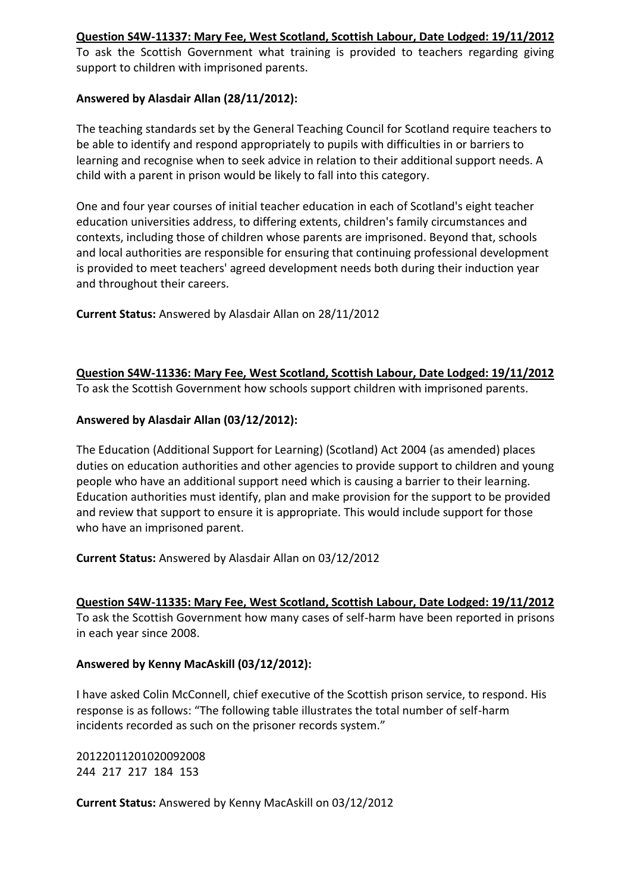#### **[Question S4W-11337: Mary Fee, West Scotland, Scottish Labour, Date Lodged: 19/11/2012](javascript:WebForm_DoPostBackWithOptions(new%20WebForm_PostBackOptions(%22MAQA_Search$gvResults$ctl00$ctl14$lnkIndividualQuestion%22,%20%22%22,%20true,%20%22%22,%20%22%22,%20false,%20true)))**

To ask the Scottish Government what training is provided to teachers regarding giving support to children with imprisoned parents.

#### **Answered by Alasdair Allan (28/11/2012):**

The teaching standards set by the General Teaching Council for Scotland require teachers to be able to identify and respond appropriately to pupils with difficulties in or barriers to learning and recognise when to seek advice in relation to their additional support needs. A child with a parent in prison would be likely to fall into this category.

One and four year courses of initial teacher education in each of Scotland's eight teacher education universities address, to differing extents, children's family circumstances and contexts, including those of children whose parents are imprisoned. Beyond that, schools and local authorities are responsible for ensuring that continuing professional development is provided to meet teachers' agreed development needs both during their induction year and throughout their careers.

**Current Status:** Answered by Alasdair Allan on 28/11/2012

**[Question S4W-11336: Mary Fee, West Scotland, Scottish Labour, Date Lodged: 19/11/2012](javascript:WebForm_DoPostBackWithOptions(new%20WebForm_PostBackOptions(%22MAQA_Search$gvResults$ctl00$ctl16$lnkIndividualQuestion%22,%20%22%22,%20true,%20%22%22,%20%22%22,%20false,%20true)))** To ask the Scottish Government how schools support children with imprisoned parents.

#### **Answered by Alasdair Allan (03/12/2012):**

The Education (Additional Support for Learning) (Scotland) Act 2004 (as amended) places duties on education authorities and other agencies to provide support to children and young people who have an additional support need which is causing a barrier to their learning. Education authorities must identify, plan and make provision for the support to be provided and review that support to ensure it is appropriate. This would include support for those who have an imprisoned parent.

**Current Status:** Answered by Alasdair Allan on 03/12/2012

#### **[Question S4W-11335: Mary Fee, West Scotland, Scottish Labour, Date Lodged: 19/11/2012](javascript:WebForm_DoPostBackWithOptions(new%20WebForm_PostBackOptions(%22MAQA_Search$gvResults$ctl00$ctl18$lnkIndividualQuestion%22,%20%22%22,%20true,%20%22%22,%20%22%22,%20false,%20true)))**

To ask the Scottish Government how many cases of self-harm have been reported in prisons in each year since 2008.

#### **Answered by Kenny MacAskill (03/12/2012):**

I have asked Colin McConnell, chief executive of the Scottish prison service, to respond. His response is as follows: "The following table illustrates the total number of self-harm incidents recorded as such on the prisoner records system."

20122011201020092008 244 217 217 184 153

**Current Status:** Answered by Kenny MacAskill on 03/12/2012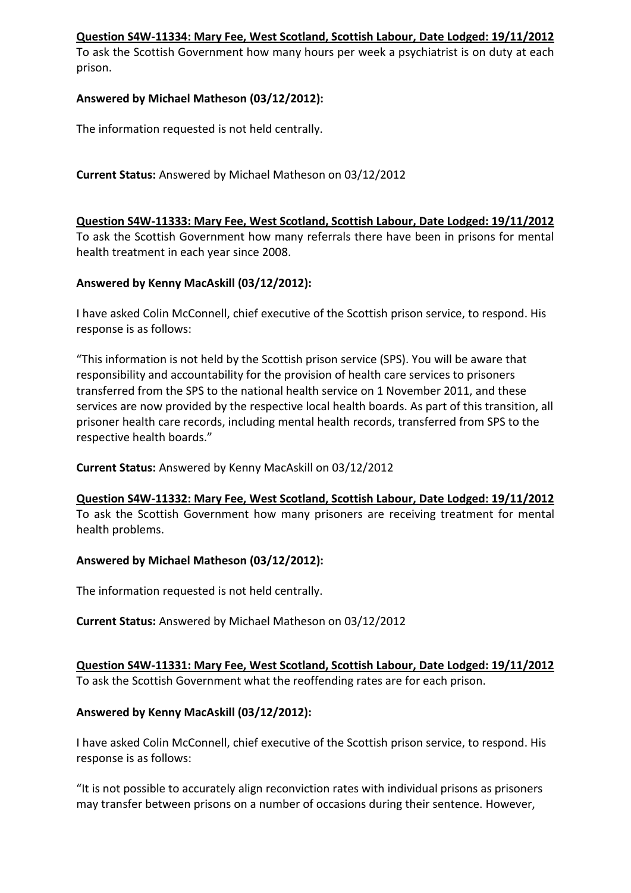#### **[Question S4W-11334: Mary Fee, West Scotland, Scottish Labour, Date Lodged: 19/11/2012](javascript:WebForm_DoPostBackWithOptions(new%20WebForm_PostBackOptions(%22MAQA_Search$gvResults$ctl00$ctl20$lnkIndividualQuestion%22,%20%22%22,%20true,%20%22%22,%20%22%22,%20false,%20true)))**

To ask the Scottish Government how many hours per week a psychiatrist is on duty at each prison.

#### **Answered by Michael Matheson (03/12/2012):**

The information requested is not held centrally.

#### **Current Status:** Answered by Michael Matheson on 03/12/2012

#### **[Question S4W-11333: Mary Fee, West Scotland, Scottish Labour, Date Lodged: 19/11/2012](javascript:WebForm_DoPostBackWithOptions(new%20WebForm_PostBackOptions(%22MAQA_Search$gvResults$ctl00$ctl22$lnkIndividualQuestion%22,%20%22%22,%20true,%20%22%22,%20%22%22,%20false,%20true)))**

To ask the Scottish Government how many referrals there have been in prisons for mental health treatment in each year since 2008.

#### **Answered by Kenny MacAskill (03/12/2012):**

I have asked Colin McConnell, chief executive of the Scottish prison service, to respond. His response is as follows:

"This information is not held by the Scottish prison service (SPS). You will be aware that responsibility and accountability for the provision of health care services to prisoners transferred from the SPS to the national health service on 1 November 2011, and these services are now provided by the respective local health boards. As part of this transition, all prisoner health care records, including mental health records, transferred from SPS to the respective health boards."

**Current Status:** Answered by Kenny MacAskill on 03/12/2012

**[Question S4W-11332: Mary Fee, West Scotland, Scottish Labour, Date Lodged: 19/11/2012](javascript:WebForm_DoPostBackWithOptions(new%20WebForm_PostBackOptions(%22MAQA_Search$gvResults$ctl00$ctl24$lnkIndividualQuestion%22,%20%22%22,%20true,%20%22%22,%20%22%22,%20false,%20true)))** To ask the Scottish Government how many prisoners are receiving treatment for mental health problems.

#### **Answered by Michael Matheson (03/12/2012):**

The information requested is not held centrally.

**Current Status:** Answered by Michael Matheson on 03/12/2012

# **[Question S4W-11331: Mary Fee, West Scotland, Scottish Labour, Date Lodged: 19/11/2012](javascript:WebForm_DoPostBackWithOptions(new%20WebForm_PostBackOptions(%22MAQA_Search$gvResults$ctl00$ctl26$lnkIndividualQuestion%22,%20%22%22,%20true,%20%22%22,%20%22%22,%20false,%20true)))**

To ask the Scottish Government what the reoffending rates are for each prison.

## **Answered by Kenny MacAskill (03/12/2012):**

I have asked Colin McConnell, chief executive of the Scottish prison service, to respond. His response is as follows:

"It is not possible to accurately align reconviction rates with individual prisons as prisoners may transfer between prisons on a number of occasions during their sentence. However,